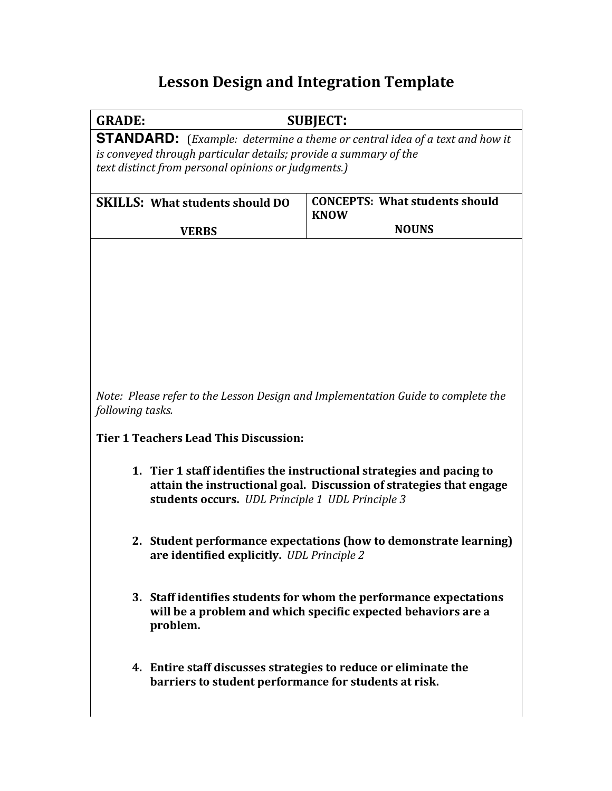## **Lesson Design and Integration Template**

GRADE: SUBJECT:

**STANDARD:** (*Example: determine a theme or central idea of a text and how it is* conveyed through particular details; provide a summary of the *text distinct from personal opinions or judgments.)*

| <b>SKILLS: What students should DO</b> | <b>CONCEPTS: What students should</b><br><b>KNOW</b> |
|----------------------------------------|------------------------------------------------------|
| <b>VERBS</b>                           | <b>NOUNS</b>                                         |

*Note: Please refer to the Lesson Design and Implementation Guide to complete the following tasks.*

**Tier 1 Teachers Lead This Discussion:**

- **1.** Tier 1 staff identifies the instructional strategies and pacing to attain the instructional goal. Discussion of strategies that engage students occurs. *UDL Principle 1 UDL Principle 3*
- **2.** Student performance expectations (how to demonstrate learning) are identified explicitly. *UDL Principle 2*
- **3.** Staff identifies students for whom the performance expectations will be a problem and which specific expected behaviors are a **problem.**
- **4. Entire staff discusses strategies to reduce or eliminate the** barriers to student performance for students at risk.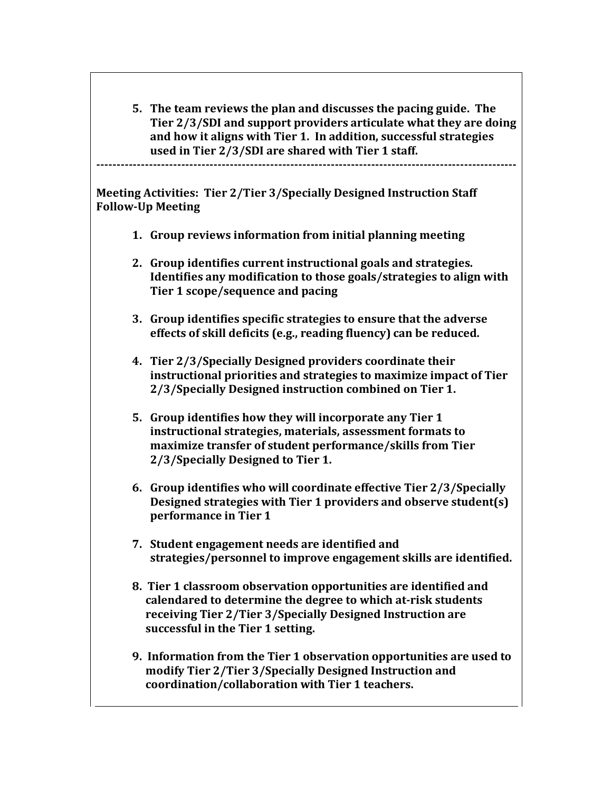**5.** The team reviews the plan and discusses the pacing guide. The **Tier 2/3/SDI** and support providers articulate what they are doing and how it aligns with Tier 1. In addition, successful strategies used in Tier 2/3/SDI are shared with Tier 1 staff.

**--------------------------------------------------------------------------------------------------------**

**Meeting Activities: Tier 2/Tier 3/Specially Designed Instruction Staff Follow-Up Meeting**

- **1.** Group reviews information from initial planning meeting
- 2. Group identifies current instructional goals and strategies. **Identifies any modification to those goals/strategies to align with Tier 1 scope/sequence and pacing**
- **3.** Group identifies specific strategies to ensure that the adverse effects of skill deficits (e.g., reading fluency) can be reduced.
- **4. Tier 2/3/Specially Designed providers coordinate their**  instructional priorities and strategies to maximize impact of Tier **2/3/Specially Designed instruction combined on Tier 1.**
- **5.** Group identifies how they will incorporate any Tier 1 instructional strategies, materials, assessment formats to maximize transfer of student performance/skills from Tier **2/3/Specially Designed to Tier 1.**
- **6.** Group identifies who will coordinate effective Tier 2/3/Specially **Designed strategies with Tier 1 providers and observe student(s) performance in Tier 1**
- **7.** Student engagement needs are identified and strategies/personnel to improve engagement skills are identified.
- **8.** Tier 1 classroom observation opportunities are identified and calendared to determine the degree to which at-risk students receiving Tier 2/Tier 3/Specially Designed Instruction are successful in the Tier 1 setting.
- **9. Information from the Tier 1 observation opportunities are used to** modify Tier 2/Tier 3/Specially Designed Instruction and coordination/collaboration with Tier 1 teachers.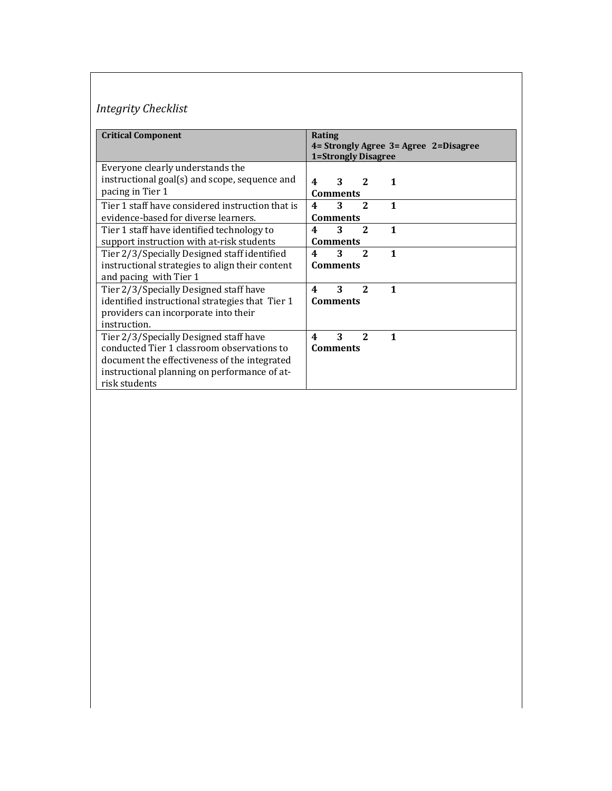## *Integrity Checklist*

| <b>Critical Component</b>                        | Rating                                                           |
|--------------------------------------------------|------------------------------------------------------------------|
|                                                  | 4 = Strongly Agree 3 = Agree 2 = Disagree<br>1=Strongly Disagree |
| Everyone clearly understands the                 |                                                                  |
| instructional goal(s) and scope, sequence and    | 3<br>2<br>$\mathbf 1$<br>4                                       |
| pacing in Tier 1                                 | <b>Comments</b>                                                  |
| Tier 1 staff have considered instruction that is | 3<br>$\mathbf{1}$<br>$\mathbf{2}$<br>4                           |
| evidence-based for diverse learners.             | <b>Comments</b>                                                  |
| Tier 1 staff have identified technology to       | 1<br>3<br>2<br>4                                                 |
| support instruction with at-risk students        | <b>Comments</b>                                                  |
| Tier 2/3/Specially Designed staff identified     | 3<br>2<br>$\mathbf{1}$<br>4                                      |
| instructional strategies to align their content  | <b>Comments</b>                                                  |
| and pacing with Tier 1                           |                                                                  |
| Tier 2/3/Specially Designed staff have           | 3<br>$\mathbf{1}$<br>4<br>2                                      |
| identified instructional strategies that Tier 1  | <b>Comments</b>                                                  |
| providers can incorporate into their             |                                                                  |
| instruction.                                     |                                                                  |
| Tier 2/3/Specially Designed staff have           | 3<br>2<br>$\mathbf{1}$<br>4                                      |
| conducted Tier 1 classroom observations to       | <b>Comments</b>                                                  |
| document the effectiveness of the integrated     |                                                                  |
| instructional planning on performance of at-     |                                                                  |
| risk students                                    |                                                                  |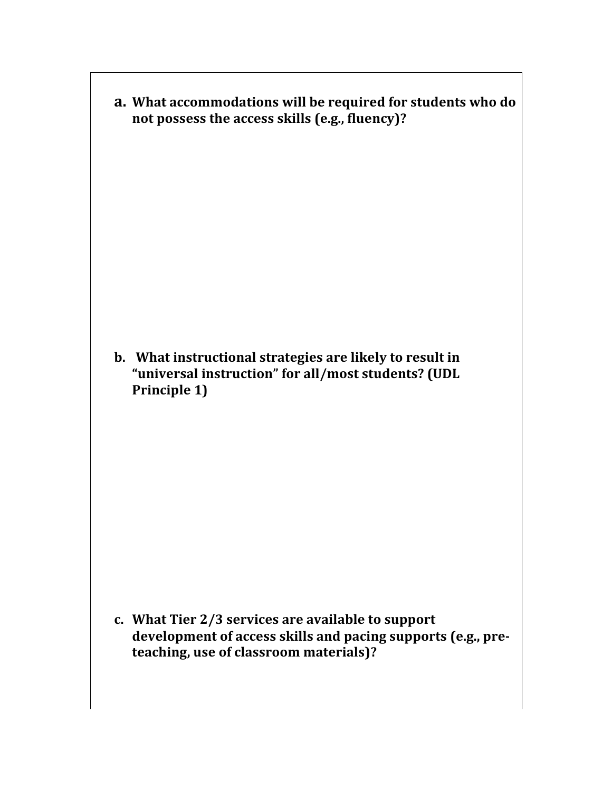a. What accommodations will be required for students who do not possess the access skills (e.g., fluency)?

**b.** What instructional strategies are likely to result in "universal instruction" for all/most students? (UDL **Principle 1)** 

c. What Tier 2/3 services are available to support development of access skills and pacing supports (e.g., pre**teaching, use of classroom materials)?**